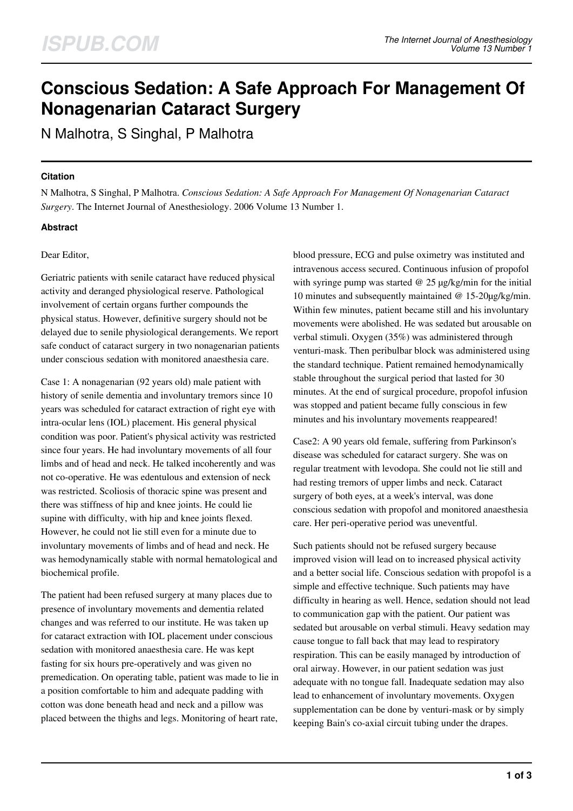# **Conscious Sedation: A Safe Approach For Management Of Nonagenarian Cataract Surgery**

N Malhotra, S Singhal, P Malhotra

#### **Citation**

N Malhotra, S Singhal, P Malhotra. *Conscious Sedation: A Safe Approach For Management Of Nonagenarian Cataract Surgery*. The Internet Journal of Anesthesiology. 2006 Volume 13 Number 1.

## **Abstract**

## Dear Editor,

Geriatric patients with senile cataract have reduced physical activity and deranged physiological reserve. Pathological involvement of certain organs further compounds the physical status. However, definitive surgery should not be delayed due to senile physiological derangements. We report safe conduct of cataract surgery in two nonagenarian patients under conscious sedation with monitored anaesthesia care.

Case 1: A nonagenarian (92 years old) male patient with history of senile dementia and involuntary tremors since 10 years was scheduled for cataract extraction of right eye with intra-ocular lens (IOL) placement. His general physical condition was poor. Patient's physical activity was restricted since four years. He had involuntary movements of all four limbs and of head and neck. He talked incoherently and was not co-operative. He was edentulous and extension of neck was restricted. Scoliosis of thoracic spine was present and there was stiffness of hip and knee joints. He could lie supine with difficulty, with hip and knee joints flexed. However, he could not lie still even for a minute due to involuntary movements of limbs and of head and neck. He was hemodynamically stable with normal hematological and biochemical profile.

The patient had been refused surgery at many places due to presence of involuntary movements and dementia related changes and was referred to our institute. He was taken up for cataract extraction with IOL placement under conscious sedation with monitored anaesthesia care. He was kept fasting for six hours pre-operatively and was given no premedication. On operating table, patient was made to lie in a position comfortable to him and adequate padding with cotton was done beneath head and neck and a pillow was placed between the thighs and legs. Monitoring of heart rate,

blood pressure, ECG and pulse oximetry was instituted and intravenous access secured. Continuous infusion of propofol with syringe pump was started @ 25 µg/kg/min for the initial 10 minutes and subsequently maintained @ 15-20µg/kg/min. Within few minutes, patient became still and his involuntary movements were abolished. He was sedated but arousable on verbal stimuli. Oxygen (35%) was administered through venturi-mask. Then peribulbar block was administered using the standard technique. Patient remained hemodynamically stable throughout the surgical period that lasted for 30 minutes. At the end of surgical procedure, propofol infusion was stopped and patient became fully conscious in few minutes and his involuntary movements reappeared!

Case2: A 90 years old female, suffering from Parkinson's disease was scheduled for cataract surgery. She was on regular treatment with levodopa. She could not lie still and had resting tremors of upper limbs and neck. Cataract surgery of both eyes, at a week's interval, was done conscious sedation with propofol and monitored anaesthesia care. Her peri-operative period was uneventful.

Such patients should not be refused surgery because improved vision will lead on to increased physical activity and a better social life. Conscious sedation with propofol is a simple and effective technique. Such patients may have difficulty in hearing as well. Hence, sedation should not lead to communication gap with the patient. Our patient was sedated but arousable on verbal stimuli. Heavy sedation may cause tongue to fall back that may lead to respiratory respiration. This can be easily managed by introduction of oral airway. However, in our patient sedation was just adequate with no tongue fall. Inadequate sedation may also lead to enhancement of involuntary movements. Oxygen supplementation can be done by venturi-mask or by simply keeping Bain's co-axial circuit tubing under the drapes.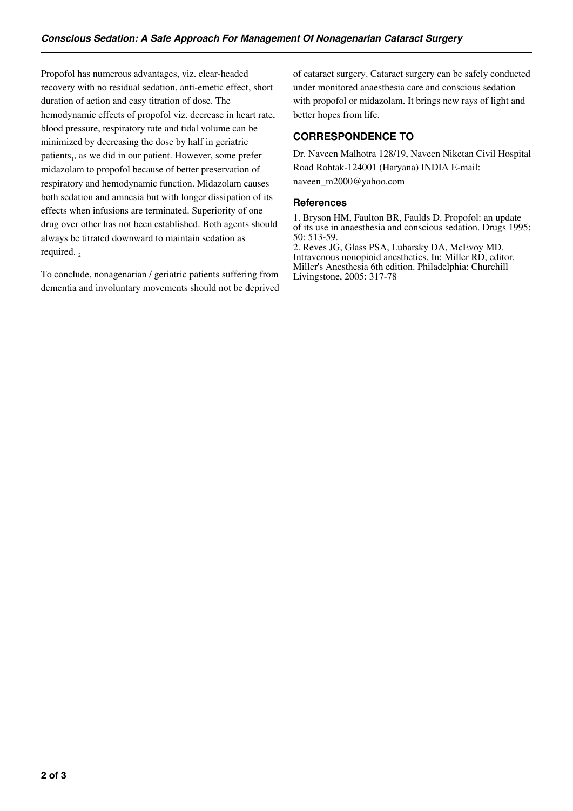Propofol has numerous advantages, viz. clear-headed recovery with no residual sedation, anti-emetic effect, short duration of action and easy titration of dose. The hemodynamic effects of propofol viz. decrease in heart rate, blood pressure, respiratory rate and tidal volume can be minimized by decreasing the dose by half in geriatric patients,, as we did in our patient. However, some prefer midazolam to propofol because of better preservation of respiratory and hemodynamic function. Midazolam causes both sedation and amnesia but with longer dissipation of its effects when infusions are terminated. Superiority of one drug over other has not been established. Both agents should always be titrated downward to maintain sedation as required.  $\frac{1}{2}$ 

To conclude, nonagenarian / geriatric patients suffering from dementia and involuntary movements should not be deprived of cataract surgery. Cataract surgery can be safely conducted under monitored anaesthesia care and conscious sedation with propofol or midazolam. It brings new rays of light and better hopes from life.

## **CORRESPONDENCE TO**

Dr. Naveen Malhotra 128/19, Naveen Niketan Civil Hospital Road Rohtak-124001 (Haryana) INDIA E-mail: naveen\_m2000@yahoo.com

## **References**

1. Bryson HM, Faulton BR, Faulds D. Propofol: an update of its use in anaesthesia and conscious sedation. Drugs 1995; 50: 513-59. 2. Reves JG, Glass PSA, Lubarsky DA, McEvoy MD. Intravenous nonopioid anesthetics. In: Miller RD, editor. Miller's Anesthesia 6th edition. Philadelphia: Churchill Livingstone, 2005: 317-78